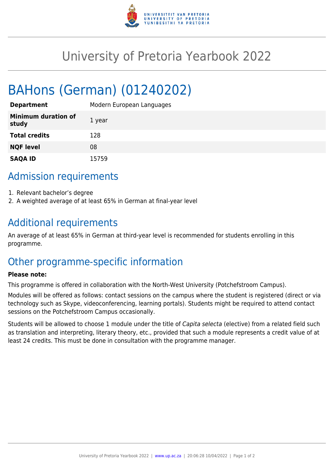

# University of Pretoria Yearbook 2022

# BAHons (German) (01240202)

| <b>Department</b>                   | Modern European Languages |
|-------------------------------------|---------------------------|
| <b>Minimum duration of</b><br>study | 1 year                    |
| <b>Total credits</b>                | 128                       |
| <b>NQF level</b>                    | 08                        |
| <b>SAQA ID</b>                      | 15759                     |

### Admission requirements

- 1. Relevant bachelor's degree
- 2. A weighted average of at least 65% in German at final-year level

### Additional requirements

An average of at least 65% in German at third-year level is recommended for students enrolling in this programme.

## Other programme-specific information

#### **Please note:**

This programme is offered in collaboration with the North-West University (Potchefstroom Campus).

Modules will be offered as follows: contact sessions on the campus where the student is registered (direct or via technology such as Skype, videoconferencing, learning portals). Students might be required to attend contact sessions on the Potchefstroom Campus occasionally.

Students will be allowed to choose 1 module under the title of Capita selecta (elective) from a related field such as translation and interpreting, literary theory, etc., provided that such a module represents a credit value of at least 24 credits. This must be done in consultation with the programme manager.